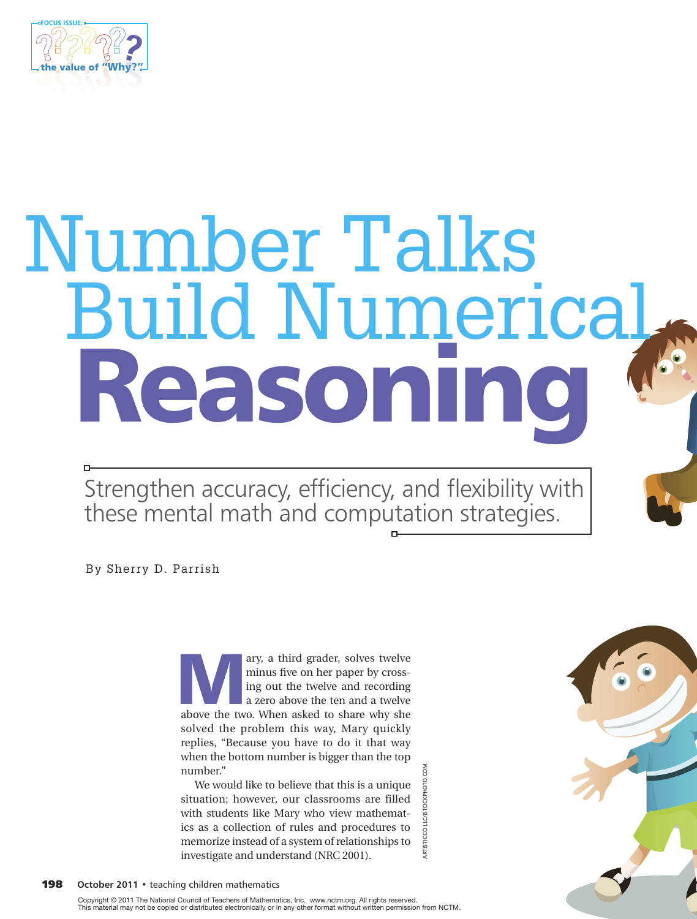

## Reasoni Number Talks Build Numerical

Strengthen accuracy, efficiency, and flexibility with these mental math and computation strategies.

By Sherry D. Parrish

ary, a third grader, solves twelve minus five on her paper by crossing out the twelve and recording a zero above the ten and a twelve above the two. When asked to share why she minus five on her paper by crossing out the twelve and recording a zero above the ten and a twelve solved the problem this way, Mary quickly replies, "Because you have to do it that way when the bottom number is bigger than the top number."

We would like to believe that this is a unique situation; however, our classrooms are filled with students like Mary who view mathematics as a collection of rules and procedures to memorize instead of a system of relationships to investigate and understand (NRC 2001).

ArTiSTicco LLc/iSTockphoTo.com ARTISTICCO LLC/ISTOCKPHOTO.CON



Copyright © 2011 The National Council of Teachers of Mathematics, Inc. www.nctm.org. All rights reserved. This material may not be copied or distributed electronically or in any other format without written permission from NCTM.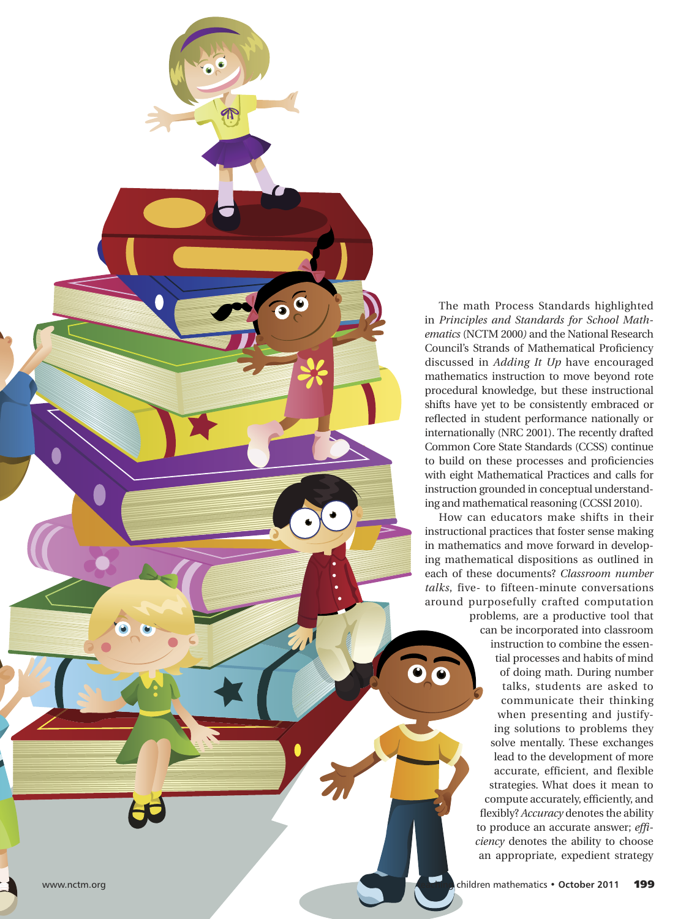

The math Process Standards highlighted in *Principles and Standards for School Math ematics* (NCTM 2000*)* and the National Research Council's Strands of Mathematical Proficiency discussed in *Adding It Up* have encouraged mathematics instruction to move beyond rote procedural knowledge, but these instructional shifts have yet to be consistently embraced or reflected in student performance nationally or internationally (NRC 2001). The recently drafted Common Core State Standards (CCSS) continue to build on these processes and proficiencies with eight Mathematical Practices and calls for instruction grounded in conceptual understand ing and mathematical reasoning (CCSSI 2010).

How can educators make shifts in their instructional practices that foster sense making in mathematics and move forward in develop ing mathematical dispositions as outlined in each of these documents? *Classroom number talks*, five- to fifteen-minute conversations around purposefully crafted computation problems, are a productive tool that can be incorporated into classroom instruction to combine the essen tial processes and habits of mind of doing math. During number talks, students are asked to communicate their thinking when presenting and justify ing solutions to problems they solve mentally. These exchanges lead to the development of more accurate, efficient, and flexible strategies. What does it mean to compute accurately, efficiently, and flexibly? *Accuracy* denotes the ability to produce an accurate answer; *effi ciency* denotes the ability to choose an appropriate, expedient strategy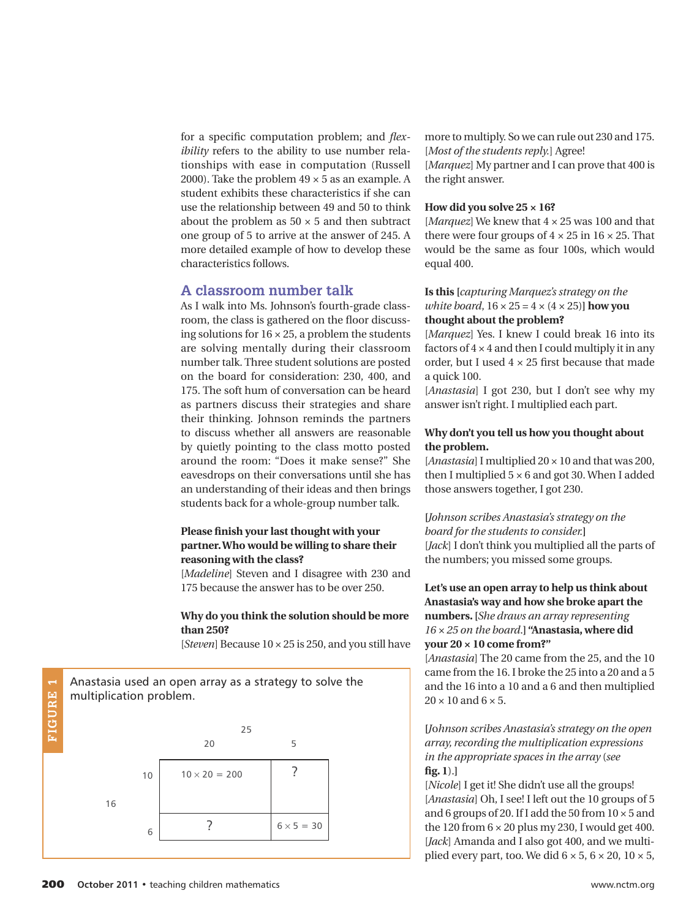for a specific computation problem; and *flexibility* refers to the ability to use number relationships with ease in computation (Russell 2000). Take the problem  $49 \times 5$  as an example. A student exhibits these characteristics if she can use the relationship between 49 and 50 to think about the problem as  $50 \times 5$  and then subtract one group of 5 to arrive at the answer of 245. A more detailed example of how to develop these characteristics follows.

### **A classroom number talk**

As I walk into Ms. Johnson's fourth-grade classroom, the class is gathered on the floor discussing solutions for  $16 \times 25$ , a problem the students are solving mentally during their classroom number talk. Three student solutions are posted on the board for consideration: 230, 400, and 175. The soft hum of conversation can be heard as partners discuss their strategies and share their thinking. Johnson reminds the partners to discuss whether all answers are reasonable by quietly pointing to the class motto posted around the room: "Does it make sense?" She eavesdrops on their conversations until she has an understanding of their ideas and then brings students back for a whole-group number talk.

### **Please finish your last thought with your partner. Who would be willing to share their reasoning with the class?**

[*Madeline*] Steven and I disagree with 230 and 175 because the answer has to be over 250.

### **Why do you think the solution should be more than 250?**

[*Steven*] Because  $10 \times 25$  is 250, and you still have

| $\overline{\phantom{0}}$ |    | Anastasia used an open array as a strategy to solve the<br>multiplication problem. |                      |                   |  |  |
|--------------------------|----|------------------------------------------------------------------------------------|----------------------|-------------------|--|--|
| <b>FIGURE</b>            |    |                                                                                    | 25<br>20             | 5                 |  |  |
|                          |    | 10                                                                                 | $10 \times 20 = 200$ |                   |  |  |
|                          | 16 |                                                                                    |                      |                   |  |  |
|                          |    | 6                                                                                  |                      | $6 \times 5 = 30$ |  |  |
|                          |    |                                                                                    |                      |                   |  |  |

more to multiply. So we can rule out 230 and 175. [*Most of the students reply.*] Agree! [*Marquez*] My partner and I can prove that 400 is the right answer.

### **How did you solve 25 × 16?**

[*Marquez*] We knew that  $4 \times 25$  was 100 and that there were four groups of  $4 \times 25$  in  $16 \times 25$ . That would be the same as four 100s, which would equal 400.

**Is this [***capturing Marquez's strategy on the white board*,  $16 \times 25 = 4 \times (4 \times 25)$  **how you thought about the problem?**

[Marquez] Yes. I knew I could break 16 into its factors of  $4 \times 4$  and then I could multiply it in any order, but I used  $4 \times 25$  first because that made a quick 100.

[*Anastasia*] I got 230, but I don't see why my answer isn't right. I multiplied each part.

### **Why don't you tell us how you thought about the problem.**

[*Anastasia*] I multiplied  $20 \times 10$  and that was 200, then I multiplied  $5 \times 6$  and got 30. When I added those answers together, I got 230.

**[***Johnson scribes Anastasia's strategy on the board for the students to consider.***]** [*Jack*] I don't think you multiplied all the parts of the numbers; you missed some groups.

### **Let's use an open array to help us think about Anastasia's way and how she broke apart the numbers. [***She draws an array representing 16 × 25 on the board*.**] "Anastasia, where did your 20 × 10 come from?"**

[*Anastasia*] The 20 came from the 25, and the 10 came from the 16. I broke the 25 into a 20 and a 5 and the 16 into a 10 and a 6 and then multiplied  $20 \times 10$  and  $6 \times 5$ .

**[***J*o*hnson scribes Anastasia's strategy on the open array, recording the multiplication expressions in the appropriate spaces in the array* (*see*  **fig. 1**).**]**

[*Nicole*] I get it! She didn't use all the groups! [*Anastasia*] Oh, I see! I left out the 10 groups of 5 and 6 groups of 20. If I add the 50 from  $10 \times 5$  and the 120 from  $6 \times 20$  plus my 230, I would get 400. [*Jack*] Amanda and I also got 400, and we multiplied every part, too. We did  $6 \times 5$ ,  $6 \times 20$ ,  $10 \times 5$ ,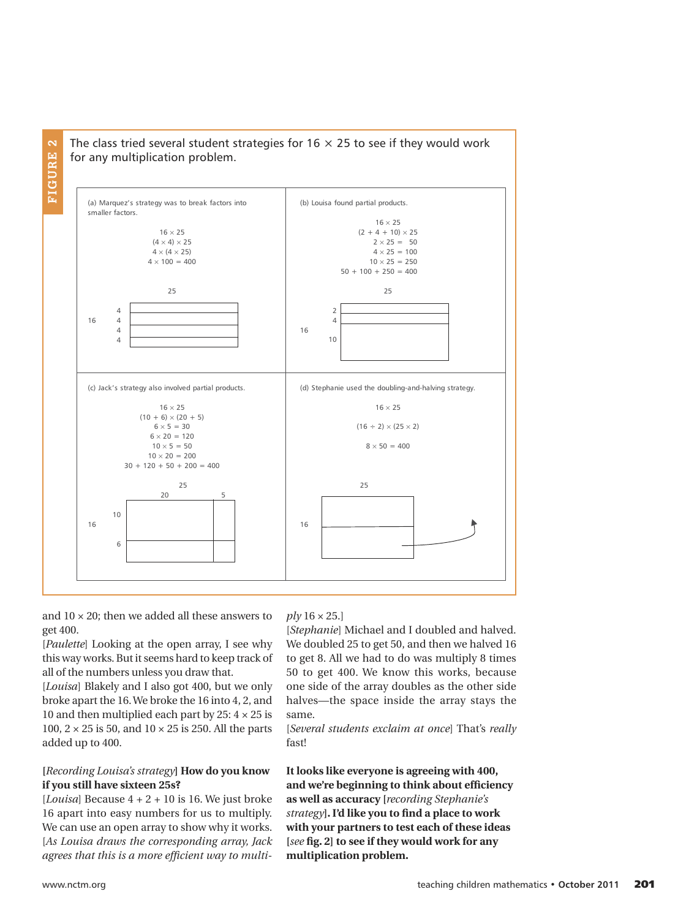

and  $10 \times 20$ ; then we added all these answers to get 400.

[*Paulette*] Looking at the open array, I see why this way works. But it seems hard to keep track of all of the numbers unless you draw that.

[*Louisa*] Blakely and I also got 400, but we only broke apart the 16. We broke the 16 into 4, 2, and 10 and then multiplied each part by 25:  $4 \times 25$  is 100,  $2 \times 25$  is 50, and  $10 \times 25$  is 250. All the parts added up to 400.

### **[***Recording Louisa's strategy***] How do you know if you still have sixteen 25s?**

[*Louisa*] Because  $4 + 2 + 10$  is 16. We just broke 16 apart into easy numbers for us to multiply. We can use an open array to show why it works. [*As Louisa draws the corresponding array, Jack agrees that this is a more efficient way to multi-*

### $p\vert y \vert 16 \times 25.$

[*Stephanie*] Michael and I doubled and halved. We doubled 25 to get 50, and then we halved 16 to get 8. All we had to do was multiply 8 times 50 to get 400. We know this works, because one side of the array doubles as the other side halves—the space inside the array stays the same.

[*Several students exclaim at once*] That's *really*  fast!

**It looks like everyone is agreeing with 400, and we're beginning to think about efficiency as well as accuracy [***recording Stephanie's strategy***]. I'd like you to find a place to work with your partners to test each of these ideas [***see* **fig. 2] to see if they would work for any multiplication problem.**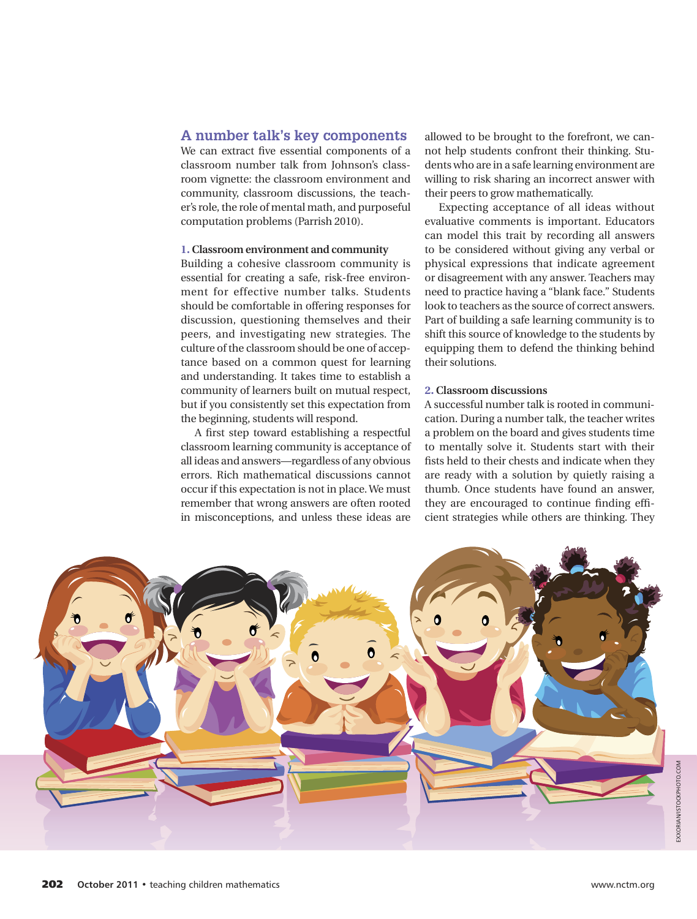### **A number talk's key components**

We can extract five essential components of a classroom number talk from Johnson's classroom vignette: the classroom environment and community, classroom discussions, the teacher's role, the role of mental math, and purposeful computation problems (Parrish 2010).

### **1. Classroom environment and community**

Building a cohesive classroom community is essential for creating a safe, risk-free environment for effective number talks. Students should be comfortable in offering responses for discussion, questioning themselves and their peers, and investigating new strategies. The culture of the classroom should be one of acceptance based on a common quest for learning and understanding. It takes time to establish a community of learners built on mutual respect, but if you consistently set this expectation from the beginning, students will respond.

A first step toward establishing a respectful classroom learning community is acceptance of all ideas and answers—regardless of any obvious errors. Rich mathematical discussions cannot occur if this expectation is not in place. We must remember that wrong answers are often rooted in misconceptions, and unless these ideas are

allowed to be brought to the forefront, we cannot help students confront their thinking. Students who are in a safe learning environment are willing to risk sharing an incorrect answer with their peers to grow mathematically.

Expecting acceptance of all ideas without evaluative comments is important. Educators can model this trait by recording all answers to be considered without giving any verbal or physical expressions that indicate agreement or disagreement with any answer. Teachers may need to practice having a "blank face." Students look to teachers as the source of correct answers. Part of building a safe learning community is to shift this source of knowledge to the students by equipping them to defend the thinking behind their solutions.

### **2. Classroom discussions**

A successful number talk is rooted in communication. During a number talk, the teacher writes a problem on the board and gives students time to mentally solve it. Students start with their fists held to their chests and indicate when they are ready with a solution by quietly raising a thumb. Once students have found an answer, they are encouraged to continue finding efficient strategies while others are thinking. They

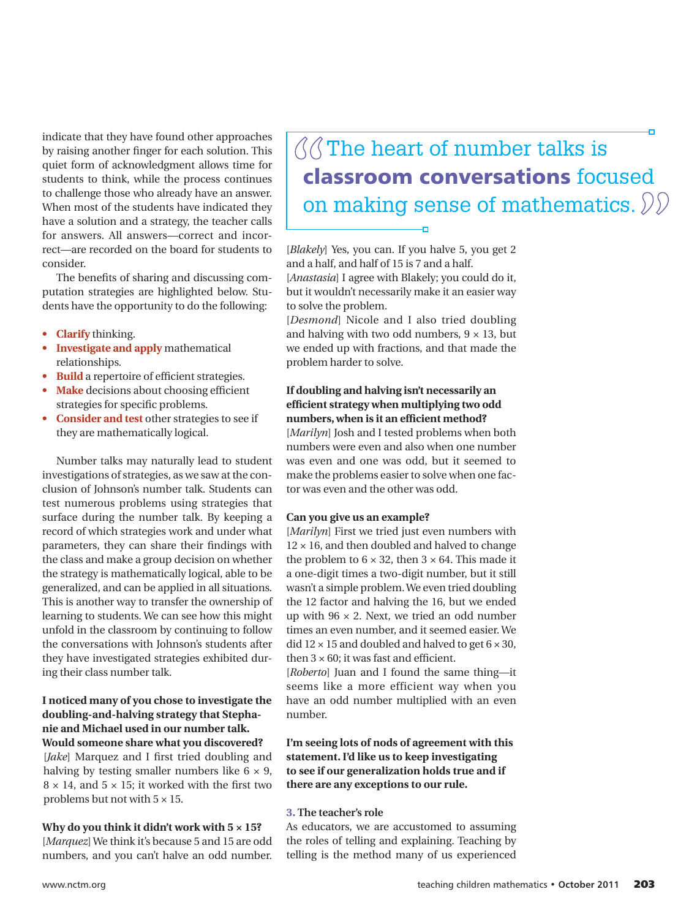indicate that they have found other approaches by raising another finger for each solution. This quiet form of acknowledgment allows time for students to think, while the process continues to challenge those who already have an answer. When most of the students have indicated they have a solution and a strategy, the teacher calls for answers. All answers—correct and incorrect—are recorded on the board for students to consider.

The benefits of sharing and discussing computation strategies are highlighted below. Students have the opportunity to do the following:

- **• Clarify** thinking.
- **• Investigate and apply** mathematical relationships.
- **Build** a repertoire of efficient strategies.
- **Make** decisions about choosing efficient strategies for specific problems.
- **• Consider and test** other strategies to see if they are mathematically logical.

Number talks may naturally lead to student investigations of strategies, as we saw at the conclusion of Johnson's number talk. Students can test numerous problems using strategies that surface during the number talk. By keeping a record of which strategies work and under what parameters, they can share their findings with the class and make a group decision on whether the strategy is mathematically logical, able to be generalized, and can be applied in all situations. This is another way to transfer the ownership of learning to students. We can see how this might unfold in the classroom by continuing to follow the conversations with Johnson's students after they have investigated strategies exhibited during their class number talk.

### **I noticed many of you chose to investigate the doubling-and-halving strategy that Stephanie and Michael used in our number talk. Would someone share what you discovered?**

[*Jake*] Marquez and I first tried doubling and halving by testing smaller numbers like  $6 \times 9$ ,  $8 \times 14$ , and  $5 \times 15$ ; it worked with the first two problems but not with  $5 \times 15$ .

**Why do you think it didn't work with 5 × 15?** [*Marquez*] We think it's because 5 and 15 are odd numbers, and you can't halve an odd number.

### $\Diamond$  The heart of number talks is classroom conversations focused on making sense of mathematics.  $\mathcal{V}\mathcal{V}$

[*Blakely*] Yes, you can. If you halve 5, you get 2 and a half, and half of 15 is 7 and a half. [*Anastasia*] I agree with Blakely; you could do it, but it wouldn't necessarily make it an easier way to solve the problem.

[*Desmond*] Nicole and I also tried doubling and halving with two odd numbers,  $9 \times 13$ , but we ended up with fractions, and that made the problem harder to solve.

### **If doubling and halving isn't necessarily an efficient strategy when multiplying two odd numbers, when is it an efficient method?**

[*Marilyn*] Josh and I tested problems when both numbers were even and also when one number was even and one was odd, but it seemed to make the problems easier to solve when one factor was even and the other was odd.

### **Can you give us an example?**

[*Marilyn*] First we tried just even numbers with  $12 \times 16$ , and then doubled and halved to change the problem to  $6 \times 32$ , then  $3 \times 64$ . This made it a one-digit times a two-digit number, but it still wasn't a simple problem. We even tried doubling the 12 factor and halving the 16, but we ended up with  $96 \times 2$ . Next, we tried an odd number times an even number, and it seemed easier. We did  $12 \times 15$  and doubled and halved to get  $6 \times 30$ , then  $3 \times 60$ ; it was fast and efficient.

[*Roberto*] Juan and I found the same thing—it seems like a more efficient way when you have an odd number multiplied with an even number.

**I'm seeing lots of nods of agreement with this statement. I'd like us to keep investigating to see if our generalization holds true and if there are any exceptions to our rule.**

### **3. The teacher's role**

As educators, we are accustomed to assuming the roles of telling and explaining. Teaching by telling is the method many of us experienced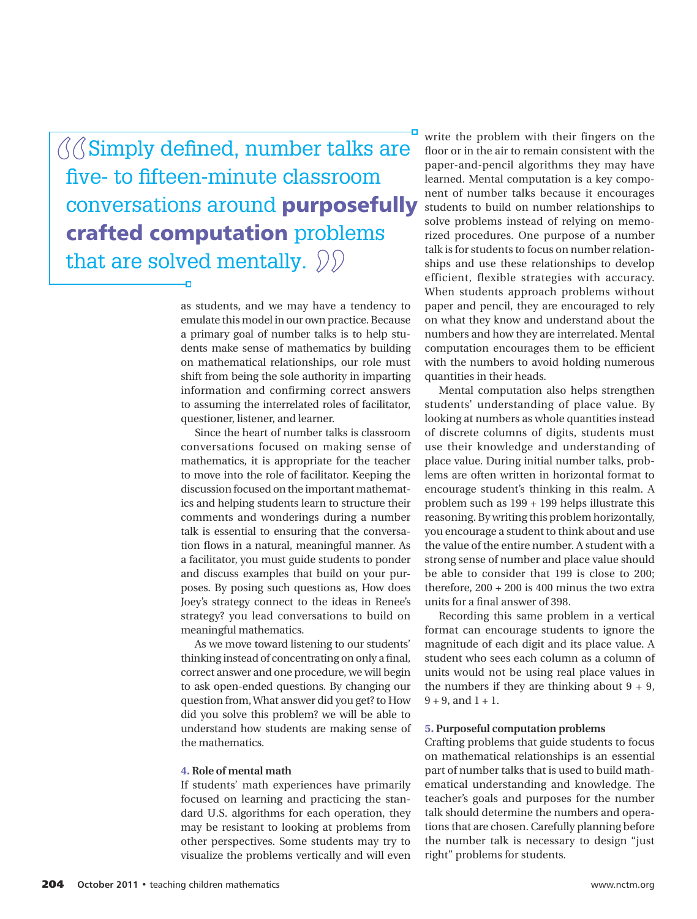$\Diamond$  Simply defined, number talks are five- to fifteen-minute classroom conversations around purposefully crafted computation problems that are solved mentally.  $\mathcal{Y} \mathcal{Y}$ 

> as students, and we may have a tendency to emulate this model in our own practice. Because a primary goal of number talks is to help students make sense of mathematics by building on mathematical relationships, our role must shift from being the sole authority in imparting information and confirming correct answers to assuming the interrelated roles of facilitator, questioner, listener, and learner.

> Since the heart of number talks is classroom conversations focused on making sense of mathematics, it is appropriate for the teacher to move into the role of facilitator. Keeping the discussion focused on the important mathematics and helping students learn to structure their comments and wonderings during a number talk is essential to ensuring that the conversation flows in a natural, meaningful manner. As a facilitator, you must guide students to ponder and discuss examples that build on your purposes. By posing such questions as, How does Joey's strategy connect to the ideas in Renee's strategy? you lead conversations to build on meaningful mathematics.

> As we move toward listening to our students' thinking instead of concentrating on only a final, correct answer and one procedure, we will begin to ask open-ended questions. By changing our question from, What answer did you get? to How did you solve this problem? we will be able to understand how students are making sense of the mathematics.

### **4. Role of mental math**

If students' math experiences have primarily focused on learning and practicing the standard U.S. algorithms for each operation, they may be resistant to looking at problems from other perspectives. Some students may try to visualize the problems vertically and will even

write the problem with their fingers on the floor or in the air to remain consistent with the paper-and-pencil algorithms they may have learned. Mental computation is a key component of number talks because it encourages students to build on number relationships to solve problems instead of relying on memorized procedures. One purpose of a number talk is for students to focus on number relationships and use these relationships to develop efficient, flexible strategies with accuracy. When students approach problems without paper and pencil, they are encouraged to rely on what they know and understand about the numbers and how they are interrelated. Mental computation encourages them to be efficient with the numbers to avoid holding numerous quantities in their heads.

Mental computation also helps strengthen students' understanding of place value. By looking at numbers as whole quantities instead of discrete columns of digits, students must use their knowledge and understanding of place value. During initial number talks, problems are often written in horizontal format to encourage student's thinking in this realm. A problem such as 199 + 199 helps illustrate this reasoning. By writing this problem horizontally, you encourage a student to think about and use the value of the entire number. A student with a strong sense of number and place value should be able to consider that 199 is close to 200; therefore,  $200 + 200$  is 400 minus the two extra units for a final answer of 398.

Recording this same problem in a vertical format can encourage students to ignore the magnitude of each digit and its place value. A student who sees each column as a column of units would not be using real place values in the numbers if they are thinking about  $9 + 9$ ,  $9 + 9$ , and  $1 + 1$ .

### **5. Purposeful computation problems**

Crafting problems that guide students to focus on mathematical relationships is an essential part of number talks that is used to build mathematical understanding and knowledge. The teacher's goals and purposes for the number talk should determine the numbers and operations that are chosen. Carefully planning before the number talk is necessary to design "just right" problems for students.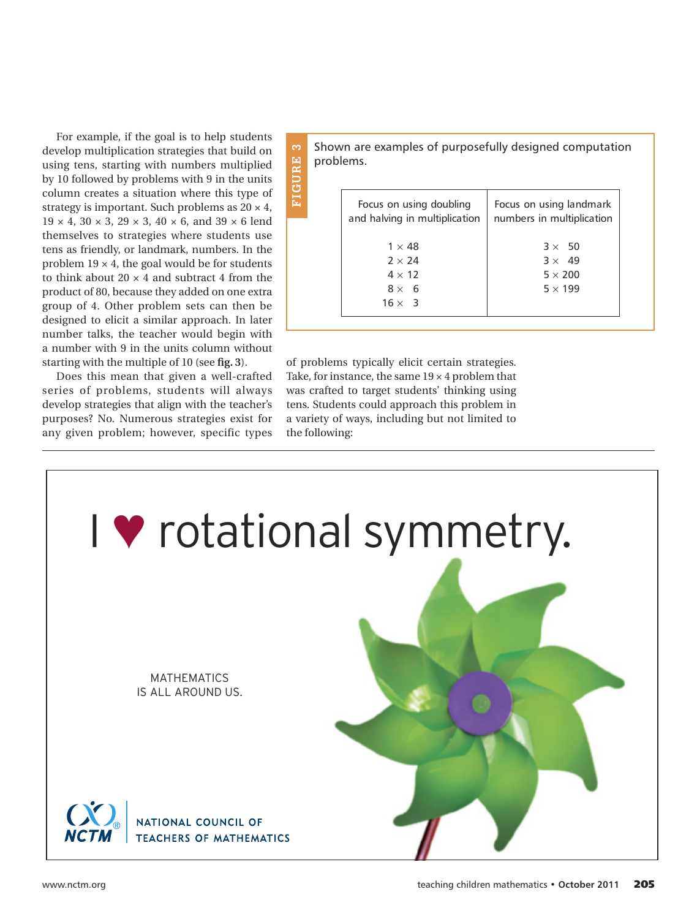For example, if the goal is to help students develop multiplication strategies that build on using tens, starting with numbers multiplied by 10 followed by problems with 9 in the units column creates a situation where this type of strategy is important. Such problems as  $20 \times 4$ ,  $19 \times 4$ ,  $30 \times 3$ ,  $29 \times 3$ ,  $40 \times 6$ , and  $39 \times 6$  lend themselves to strategies where students use tens as friendly, or landmark, numbers. In the problem  $19 \times 4$ , the goal would be for students to think about  $20 \times 4$  and subtract 4 from the product of 80, because they added on one extra group of 4. Other problem sets can then be designed to elicit a similar approach. In later number talks, the teacher would begin with a number with 9 in the units column without starting with the multiple of 10 (see **fig. 3**).

Does this mean that given a well-crafted series of problems, students will always develop strategies that align with the teacher's purposes? No. Numerous strategies exist for any given problem; however, specific types Shown are examples of purposefully designed computation problems.

|                | Focus on using doubling                                 | Focus on using landmark   |
|----------------|---------------------------------------------------------|---------------------------|
|                | and halving in multiplication                           | numbers in multiplication |
|                | $1 \times 48$                                           | $3 \times 50$             |
|                | $2 \times 24$                                           | $3 \times 49$             |
|                | $4 \times 12$                                           | $5 \times 200$            |
|                | $8 \times 6$                                            | $5 \times 199$            |
|                | $16 \times 3$                                           |                           |
|                |                                                         |                           |
|                |                                                         |                           |
|                | of problems typically elicit certain strategies.        |                           |
|                | Take, for instance, the same $19 \times 4$ problem that |                           |
|                | was crafted to target students' thinking using          |                           |
|                | tens. Students could approach this problem in           |                           |
|                | a variety of ways, including but not limited to         |                           |
| the following: |                                                         |                           |

**FIGURE 3** 

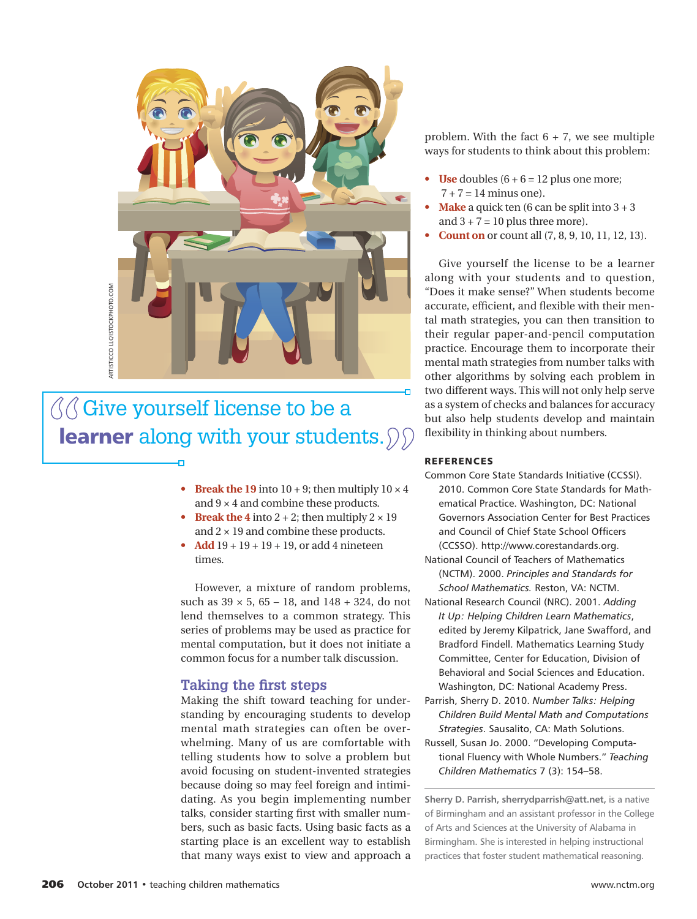

### $\Diamond\Diamond$  Give yourself license to be a

- Break the  $19$  into  $10 + 9$ ; then multiply  $10 \times 4$ and  $9 \times 4$  and combine these products.
- **Break the 4** into  $2 + 2$ ; then multiply  $2 \times 19$ and  $2 \times 19$  and combine these products.
- **Add**  $19 + 19 + 19 + 19$ , or add 4 nineteen times.

However, a mixture of random problems, such as  $39 \times 5$ ,  $65 - 18$ , and  $148 + 324$ , do not lend themselves to a common strategy. This series of problems may be used as practice for mental computation, but it does not initiate a common focus for a number talk discussion.

### **Taking the first steps**

Making the shift toward teaching for understanding by encouraging students to develop mental math strategies can often be overwhelming. Many of us are comfortable with telling students how to solve a problem but avoid focusing on student-invented strategies because doing so may feel foreign and intimidating. As you begin implementing number talks, consider starting first with smaller numbers, such as basic facts. Using basic facts as a starting place is an excellent way to establish that many ways exist to view and approach a

problem. With the fact  $6 + 7$ , we see multiple ways for students to think about this problem:

- **Use** doubles  $(6 + 6 = 12$  plus one more;  $7 + 7 = 14$  minus one).
- **Make** a quick ten  $(6 \text{ can be split into } 3 + 3)$ and  $3 + 7 = 10$  plus three more).
- **Count on** or count all (7, 8, 9, 10, 11, 12, 13).

Give yourself the license to be a learner along with your students and to question, "Does it make sense?" When students become accurate, efficient, and flexible with their mental math strategies, you can then transition to their regular paper-and-pencil computation practice. Encourage them to incorporate their mental math strategies from number talks with other algorithms by solving each problem in two different ways. This will not only help serve as a system of checks and balances for accuracy but also help students develop and maintain flexibility in thinking about numbers.

### **REFERENCES**

- Common Core State Standards Initiative (CCSSI). 2010. Common Core State *S*tandards for Mathematical Practice. Washington, DC: National Governors Association Center for Best Practices and Council of Chief State School Officers (CCSSO). http://www.corestandards.org.
- National Council of Teachers of Mathematics (NCTM). 2000. *Principles and Standards for School Mathematics.* Reston, VA: NCTM.
- National Research Council (NRC). 2001. *Adding It Up: Helping Children Learn Mathematics*, edited by Jeremy Kilpatrick, Jane Swafford, and Bradford Findell. Mathematics Learning Study Committee, Center for Education, Division of Behavioral and Social Sciences and Education. Washington, DC: National Academy Press.
- Parrish, Sherry D. 2010. *Number Talks: Helping Children Build Mental Math and Computations Strategies*. Sausalito, CA: Math Solutions.
- Russell, Susan Jo. 2000. "Developing Computational Fluency with Whole Numbers." *Teaching Children Mathematics* 7 (3): 154–58.

**Sherry D. Parrish, sherrydparrish@att.net,** is a native of Birmingham and an assistant professor in the College of Arts and Sciences at the University of Alabama in Birmingham. She is interested in helping instructional practices that foster student mathematical reasoning.